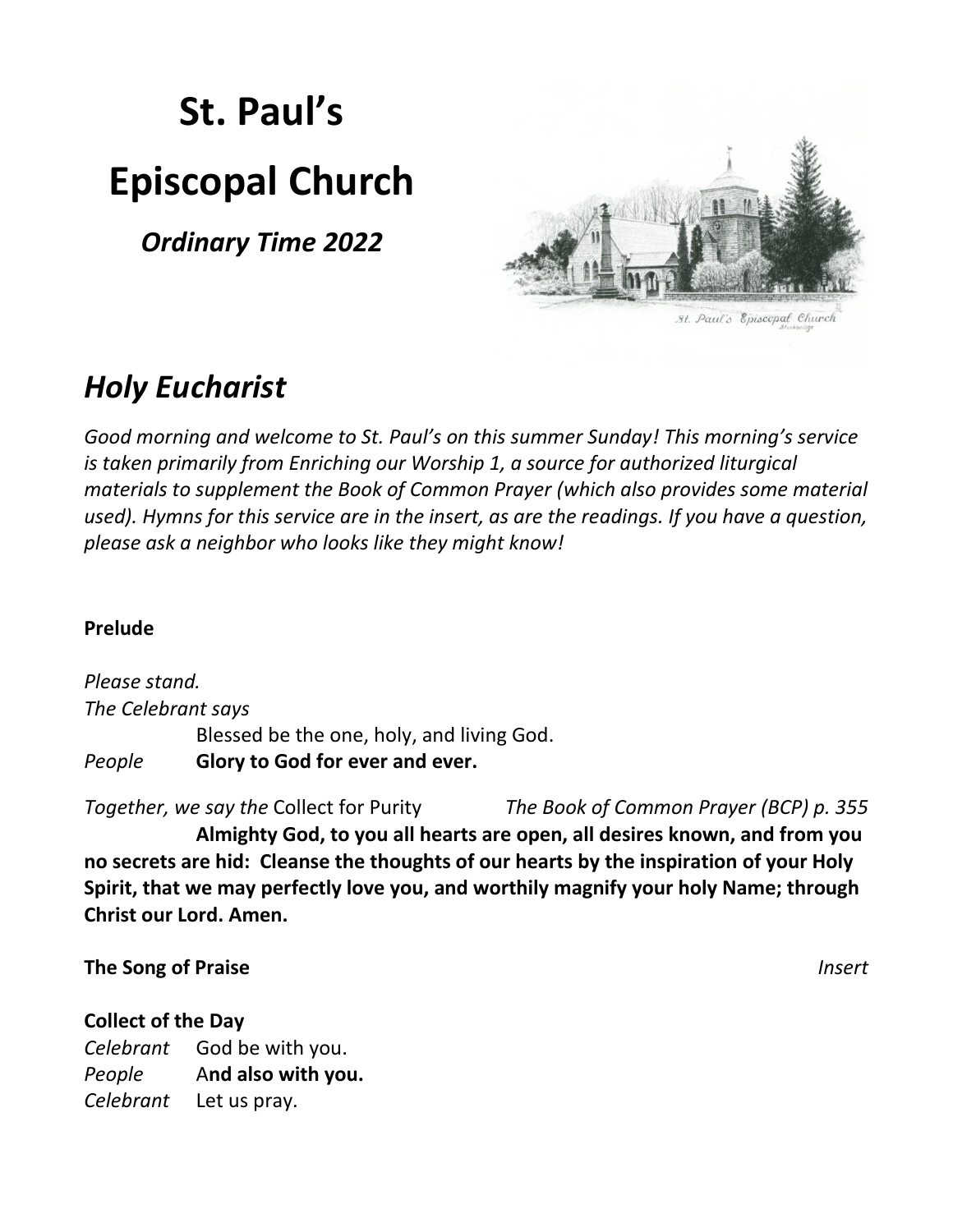# **St. Paul's Episcopal Church**

*Ordinary Time 2022*



# *Holy Eucharist*

*Good morning and welcome to St. Paul's on this summer Sunday! This morning's service is taken primarily from Enriching our Worship 1, a source for authorized liturgical materials to supplement the Book of Common Prayer (which also provides some material used). Hymns for this service are in the insert, as are the readings. If you have a question, please ask a neighbor who looks like they might know!*

#### **Prelude**

*Please stand. The Celebrant says* Blessed be the one, holy, and living God. *People* **Glory to God for ever and ever.**

*Together, we say the* Collect for Purity *The Book of Common Prayer (BCP) p. 355* **Almighty God, to you all hearts are open, all desires known, and from you no secrets are hid: Cleanse the thoughts of our hearts by the inspiration of your Holy Spirit, that we may perfectly love you, and worthily magnify your holy Name; through Christ our Lord. Amen.**

**The Song of Praise** *Insert*

#### **Collect of the Day**

*Celebrant* God be with you. *People* A**nd also with you.** *Celebrant* Let us pray.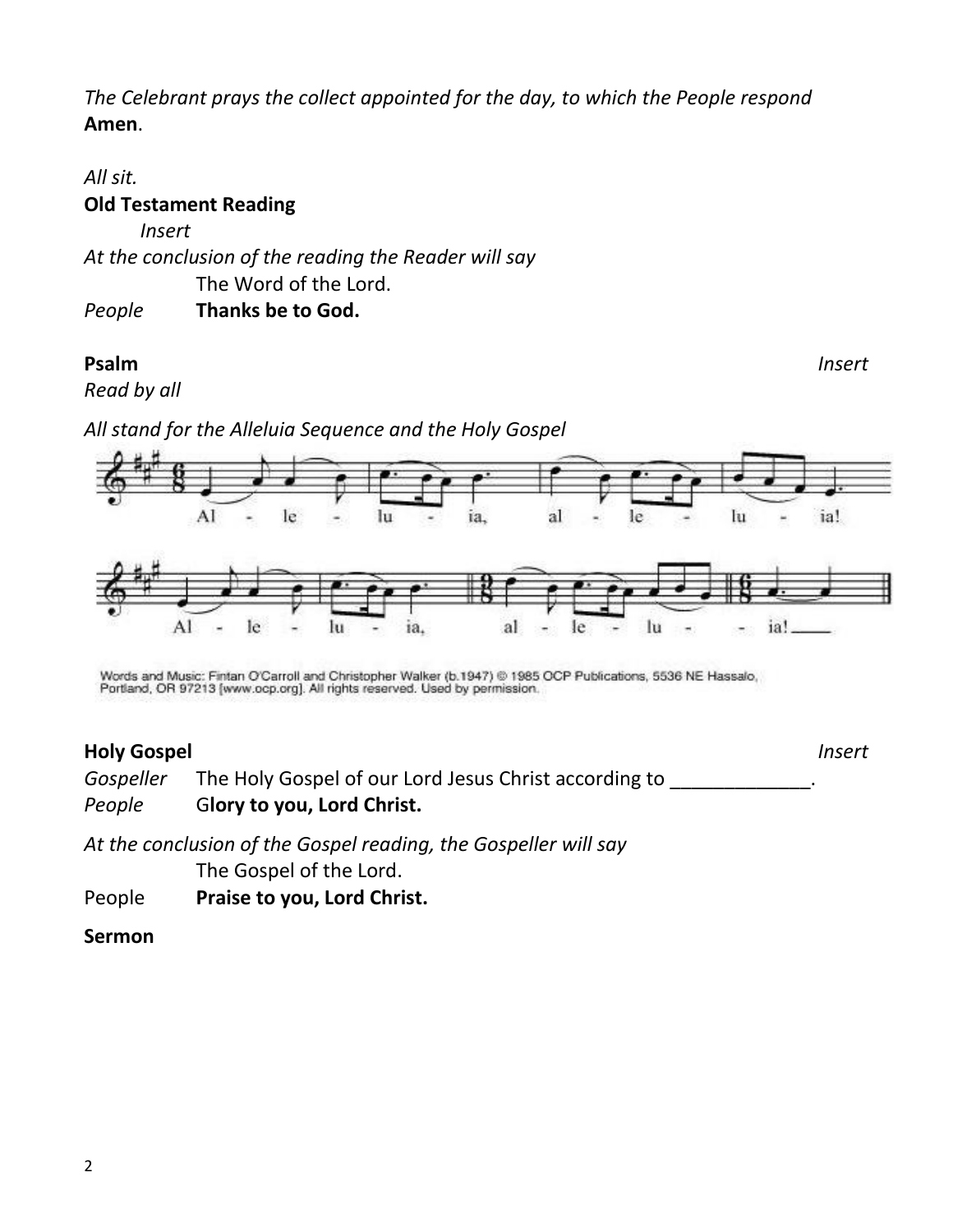*The Celebrant prays the collect appointed for the day, to which the People respond* **Amen**.

*All sit.* **Old Testament Reading** *Insert At the conclusion of the reading the Reader will say* The Word of the Lord. *People* **Thanks be to God.**

#### **Psalm** *Insert*

*Read by all*

*All stand for the Alleluia Sequence and the Holy Gospel*



Words and Music: Fintan O'Carroll and Christopher Walker (b.1947) @ 1985 OCP Publications, 5536 NE Hassalo, Portland, OR 97213 [www.ocp.org]. All rights reserved. Used by permission.

**Holy Gospel** *Insert Gospeller* The Holy Gospel of our Lord Jesus Christ according to *People* G**lory to you, Lord Christ.**

*At the conclusion of the Gospel reading, the Gospeller will say* The Gospel of the Lord.

People **Praise to you, Lord Christ.**

**Sermon**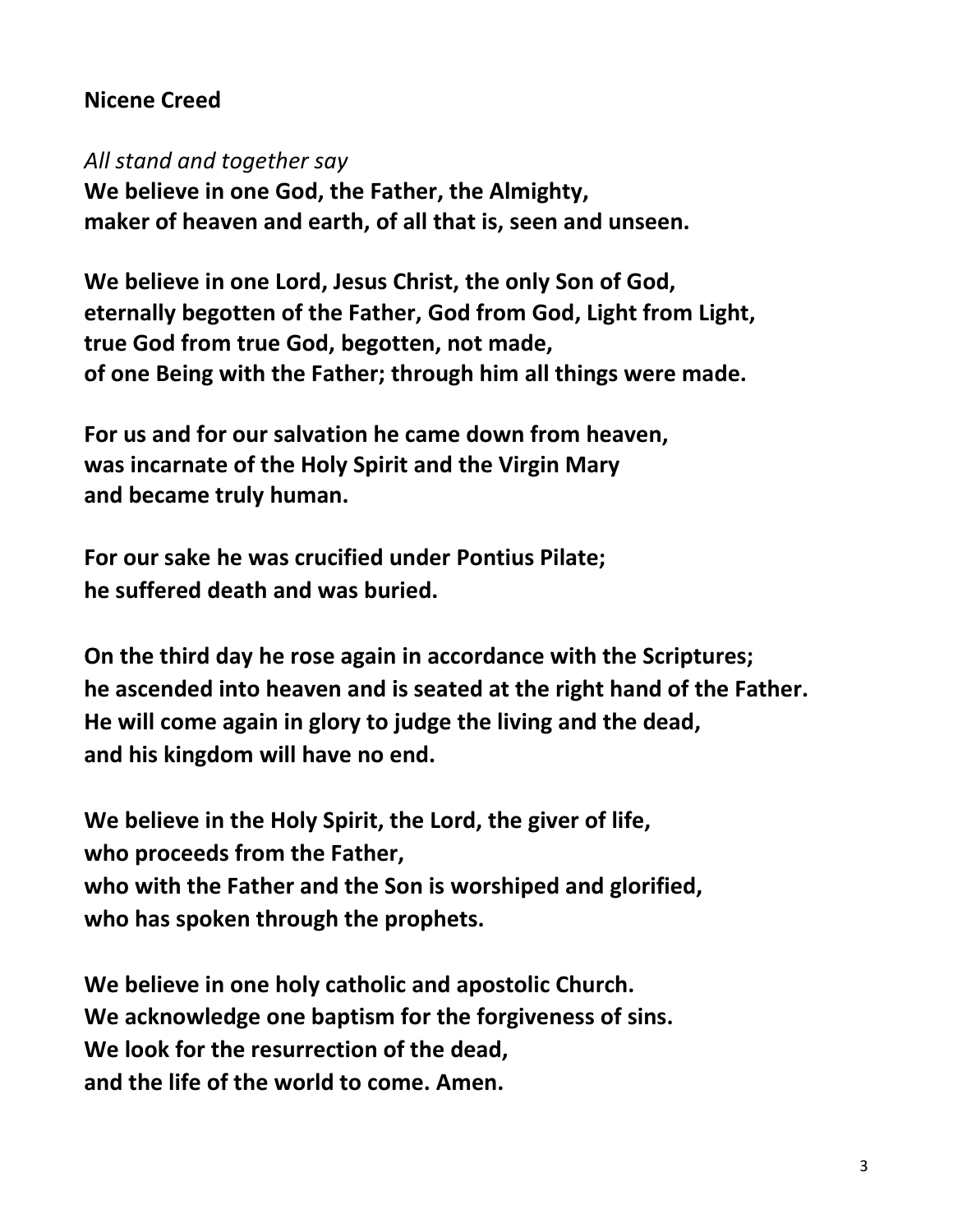#### **Nicene Creed**

*All stand and together say*

**We believe in one God, the Father, the Almighty, maker of heaven and earth, of all that is, seen and unseen.**

**We believe in one Lord, Jesus Christ, the only Son of God, eternally begotten of the Father, God from God, Light from Light, true God from true God, begotten, not made, of one Being with the Father; through him all things were made.**

**For us and for our salvation he came down from heaven, was incarnate of the Holy Spirit and the Virgin Mary and became truly human.**

**For our sake he was crucified under Pontius Pilate; he suffered death and was buried.**

**On the third day he rose again in accordance with the Scriptures; he ascended into heaven and is seated at the right hand of the Father. He will come again in glory to judge the living and the dead, and his kingdom will have no end.**

**We believe in the Holy Spirit, the Lord, the giver of life, who proceeds from the Father, who with the Father and the Son is worshiped and glorified, who has spoken through the prophets.**

**We believe in one holy catholic and apostolic Church. We acknowledge one baptism for the forgiveness of sins. We look for the resurrection of the dead, and the life of the world to come. Amen.**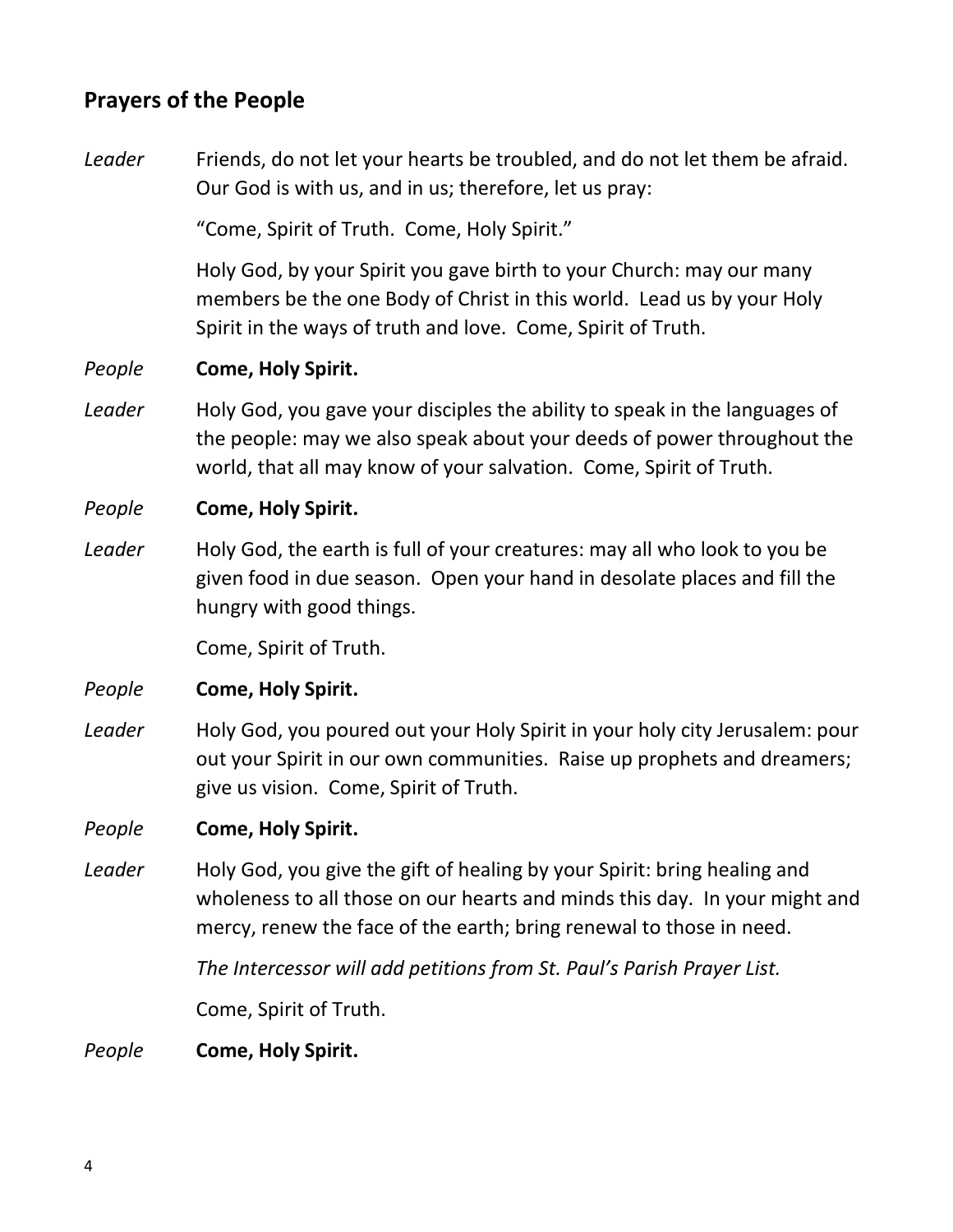#### **Prayers of the People**

*Leader* Friends, do not let your hearts be troubled, and do not let them be afraid. Our God is with us, and in us; therefore, let us pray:

"Come, Spirit of Truth. Come, Holy Spirit."

Holy God, by your Spirit you gave birth to your Church: may our many members be the one Body of Christ in this world. Lead us by your Holy Spirit in the ways of truth and love. Come, Spirit of Truth.

- *People* **Come, Holy Spirit.**
- *Leader* Holy God, you gave your disciples the ability to speak in the languages of the people: may we also speak about your deeds of power throughout the world, that all may know of your salvation. Come, Spirit of Truth.

#### *People* **Come, Holy Spirit.**

*Leader* Holy God, the earth is full of your creatures: may all who look to you be given food in due season. Open your hand in desolate places and fill the hungry with good things.

Come, Spirit of Truth.

#### *People* **Come, Holy Spirit.**

*Leader* Holy God, you poured out your Holy Spirit in your holy city Jerusalem: pour out your Spirit in our own communities. Raise up prophets and dreamers; give us vision. Come, Spirit of Truth.

#### *People* **Come, Holy Spirit.**

*Leader* Holy God, you give the gift of healing by your Spirit: bring healing and wholeness to all those on our hearts and minds this day. In your might and mercy, renew the face of the earth; bring renewal to those in need.

*The Intercessor will add petitions from St. Paul's Parish Prayer List.*

Come, Spirit of Truth.

#### *People* **Come, Holy Spirit.**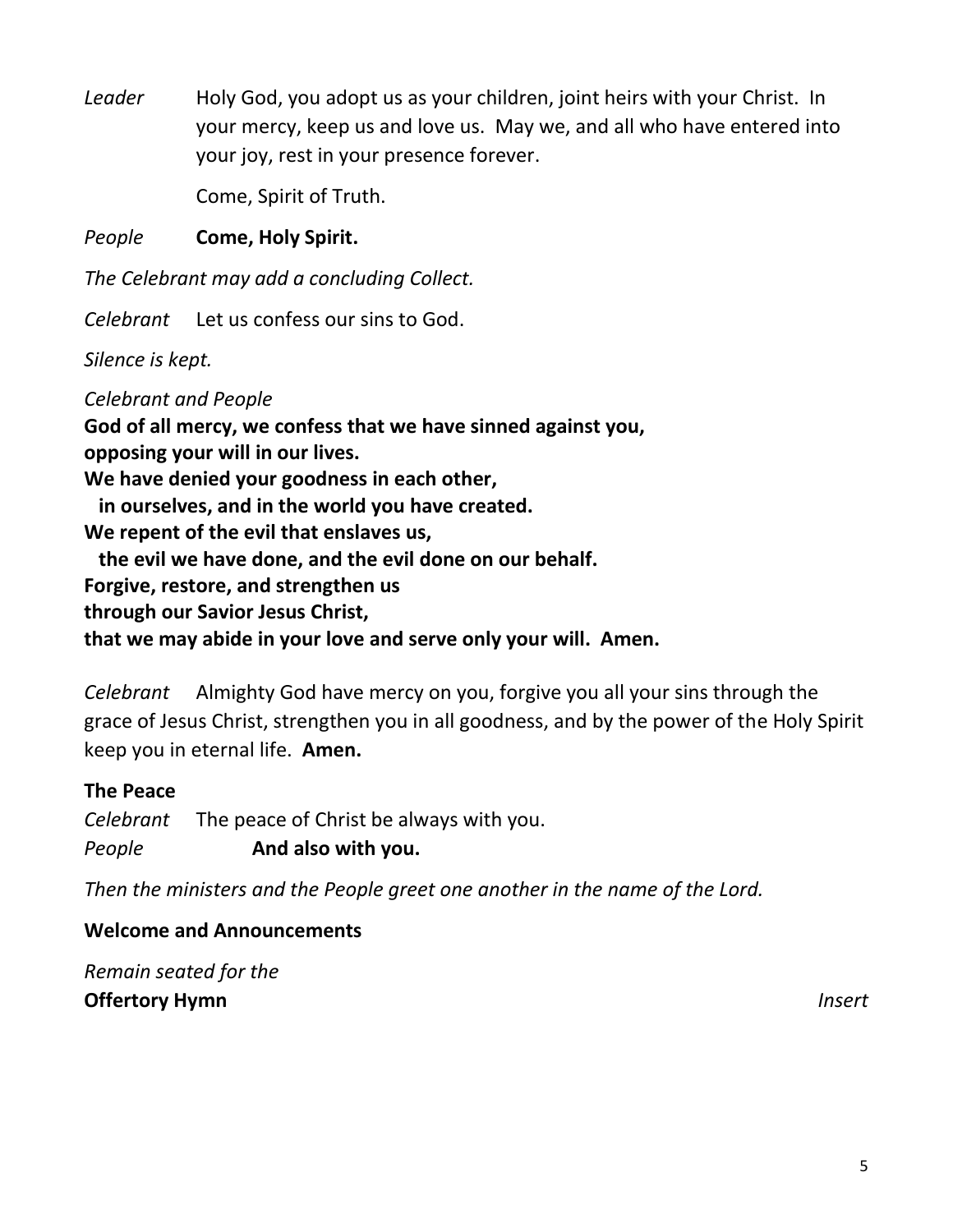*Leader* Holy God, you adopt us as your children, joint heirs with your Christ. In your mercy, keep us and love us. May we, and all who have entered into your joy, rest in your presence forever.

Come, Spirit of Truth.

*People* **Come, Holy Spirit.**

*The Celebrant may add a concluding Collect.*

*Celebrant* Let us confess our sins to God.

*Silence is kept.*

*Celebrant and People* **God of all mercy, we confess that we have sinned against you, opposing your will in our lives. We have denied your goodness in each other, in ourselves, and in the world you have created. We repent of the evil that enslaves us, the evil we have done, and the evil done on our behalf. Forgive, restore, and strengthen us through our Savior Jesus Christ, that we may abide in your love and serve only your will. Amen.**

*Celebrant* Almighty God have mercy on you, forgive you all your sins through the grace of Jesus Christ, strengthen you in all goodness, and by the power of the Holy Spirit keep you in eternal life. **Amen.**

#### **The Peace**

*Celebrant* The peace of Christ be always with you.

*People* **And also with you.**

*Then the ministers and the People greet one another in the name of the Lord.*

#### **Welcome and Announcements**

*Remain seated for the* **Offertory Hymn** *Insert*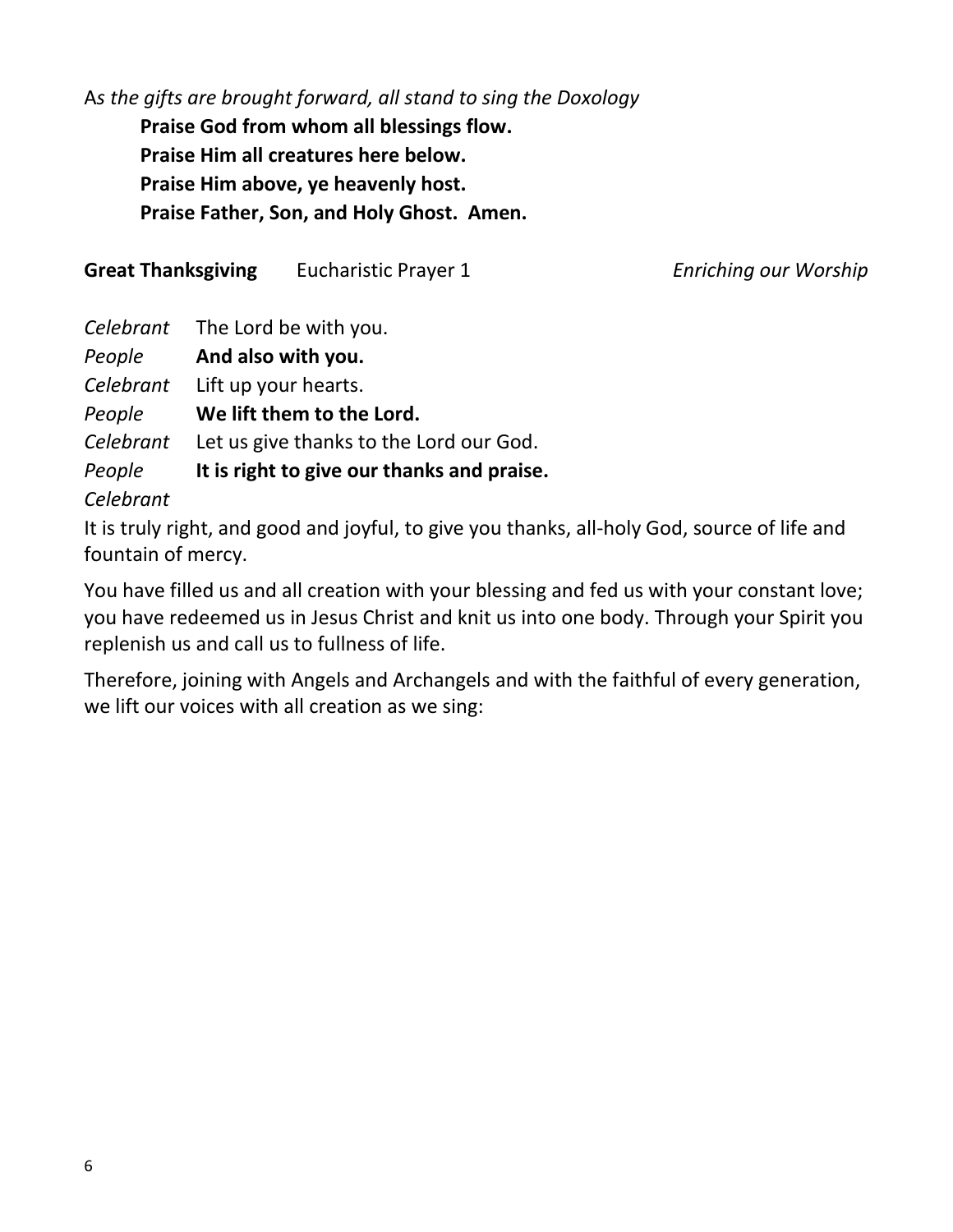A*s the gifts are brought forward, all stand to sing the Doxology*

**Praise God from whom all blessings flow. Praise Him all creatures here below. Praise Him above, ye heavenly host. Praise Father, Son, and Holy Ghost. Amen.**

**Great Thanksgiving** Eucharistic Prayer 1 *Enriching our Worship*

|           | Celebrant The Lord be with you.            |
|-----------|--------------------------------------------|
| People    | And also with you.                         |
| Celebrant | Lift up your hearts.                       |
| People    | We lift them to the Lord.                  |
| Celebrant | Let us give thanks to the Lord our God.    |
| People    | It is right to give our thanks and praise. |
| Celebrant |                                            |

It is truly right, and good and joyful, to give you thanks, all-holy God, source of life and fountain of mercy.

You have filled us and all creation with your blessing and fed us with your constant love; you have redeemed us in Jesus Christ and knit us into one body. Through your Spirit you replenish us and call us to fullness of life.

Therefore, joining with Angels and Archangels and with the faithful of every generation, we lift our voices with all creation as we sing: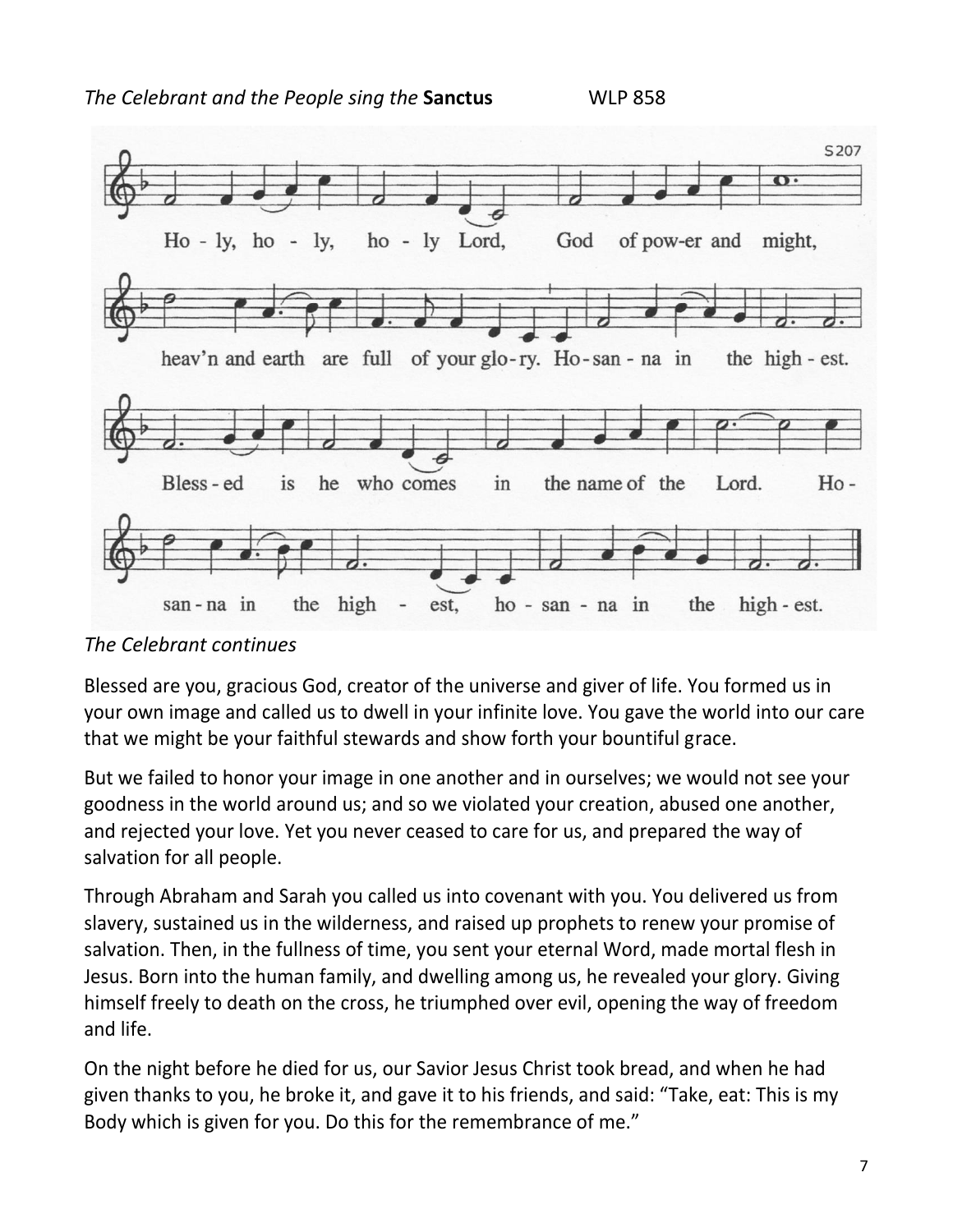*The Celebrant and the People sing the* **Sanctus** WLP 858





#### *The Celebrant continues*

Blessed are you, gracious God, creator of the universe and giver of life. You formed us in your own image and called us to dwell in your infinite love. You gave the world into our care that we might be your faithful stewards and show forth your bountiful grace.

But we failed to honor your image in one another and in ourselves; we would not see your goodness in the world around us; and so we violated your creation, abused one another, and rejected your love. Yet you never ceased to care for us, and prepared the way of salvation for all people.

Through Abraham and Sarah you called us into covenant with you. You delivered us from slavery, sustained us in the wilderness, and raised up prophets to renew your promise of salvation. Then, in the fullness of time, you sent your eternal Word, made mortal flesh in Jesus. Born into the human family, and dwelling among us, he revealed your glory. Giving himself freely to death on the cross, he triumphed over evil, opening the way of freedom and life.

On the night before he died for us, our Savior Jesus Christ took bread, and when he had given thanks to you, he broke it, and gave it to his friends, and said: "Take, eat: This is my Body which is given for you. Do this for the remembrance of me."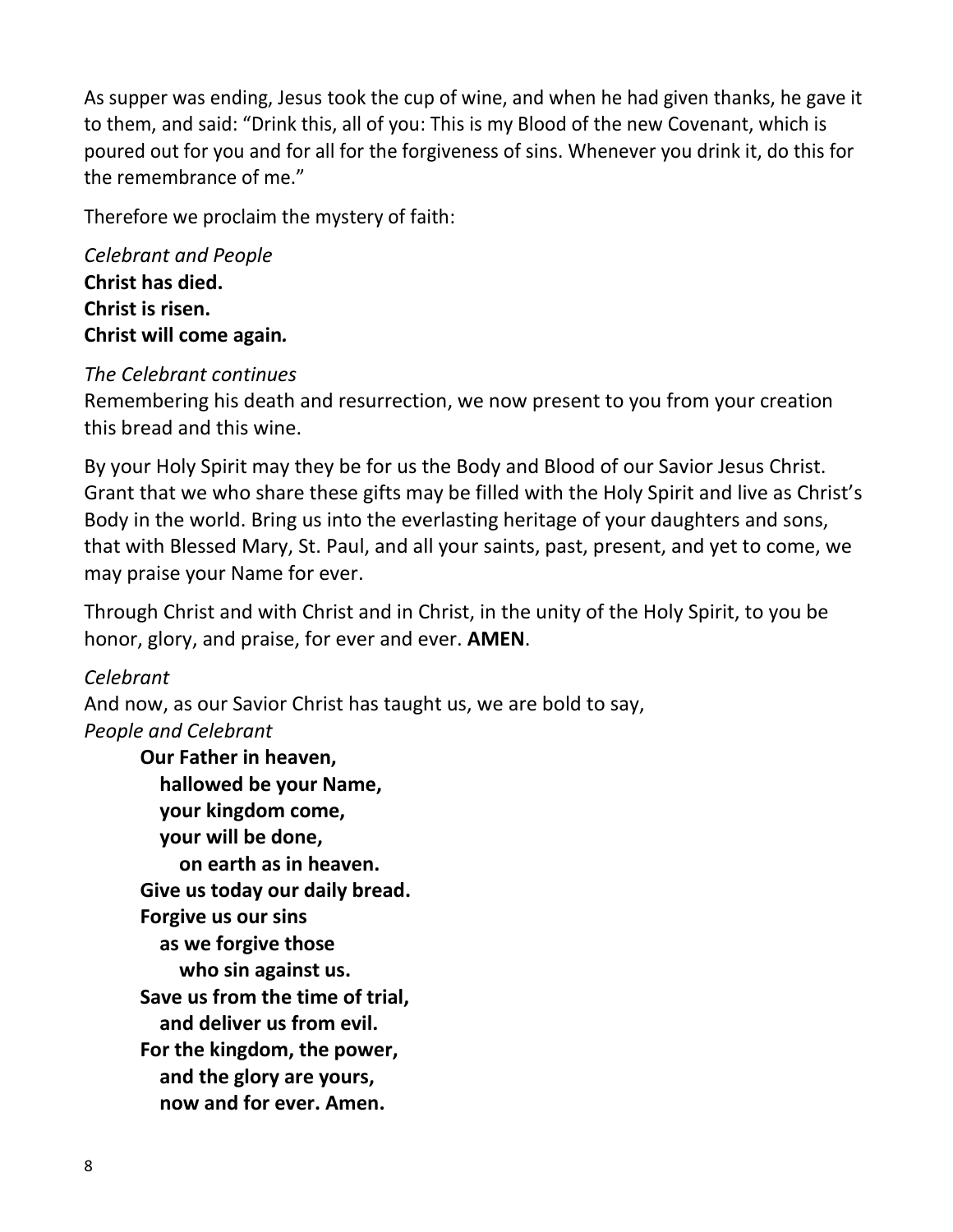As supper was ending, Jesus took the cup of wine, and when he had given thanks, he gave it to them, and said: "Drink this, all of you: This is my Blood of the new Covenant, which is poured out for you and for all for the forgiveness of sins. Whenever you drink it, do this for the remembrance of me."

Therefore we proclaim the mystery of faith:

*Celebrant and People* **Christ has died. Christ is risen. Christ will come again***.*

#### *The Celebrant continues*

Remembering his death and resurrection, we now present to you from your creation this bread and this wine.

By your Holy Spirit may they be for us the Body and Blood of our Savior Jesus Christ. Grant that we who share these gifts may be filled with the Holy Spirit and live as Christ's Body in the world. Bring us into the everlasting heritage of your daughters and sons, that with Blessed Mary, St. Paul, and all your saints, past, present, and yet to come, we may praise your Name for ever.

Through Christ and with Christ and in Christ, in the unity of the Holy Spirit, to you be honor, glory, and praise, for ever and ever. **AMEN**.

### *Celebrant* And now, as our Savior Christ has taught us, we are bold to say, *People and Celebrant*

**Our Father in heaven, hallowed be your Name, your kingdom come, your will be done, on earth as in heaven. Give us today our daily bread. Forgive us our sins as we forgive those who sin against us. Save us from the time of trial, and deliver us from evil. For the kingdom, the power, and the glory are yours, now and for ever. Amen.**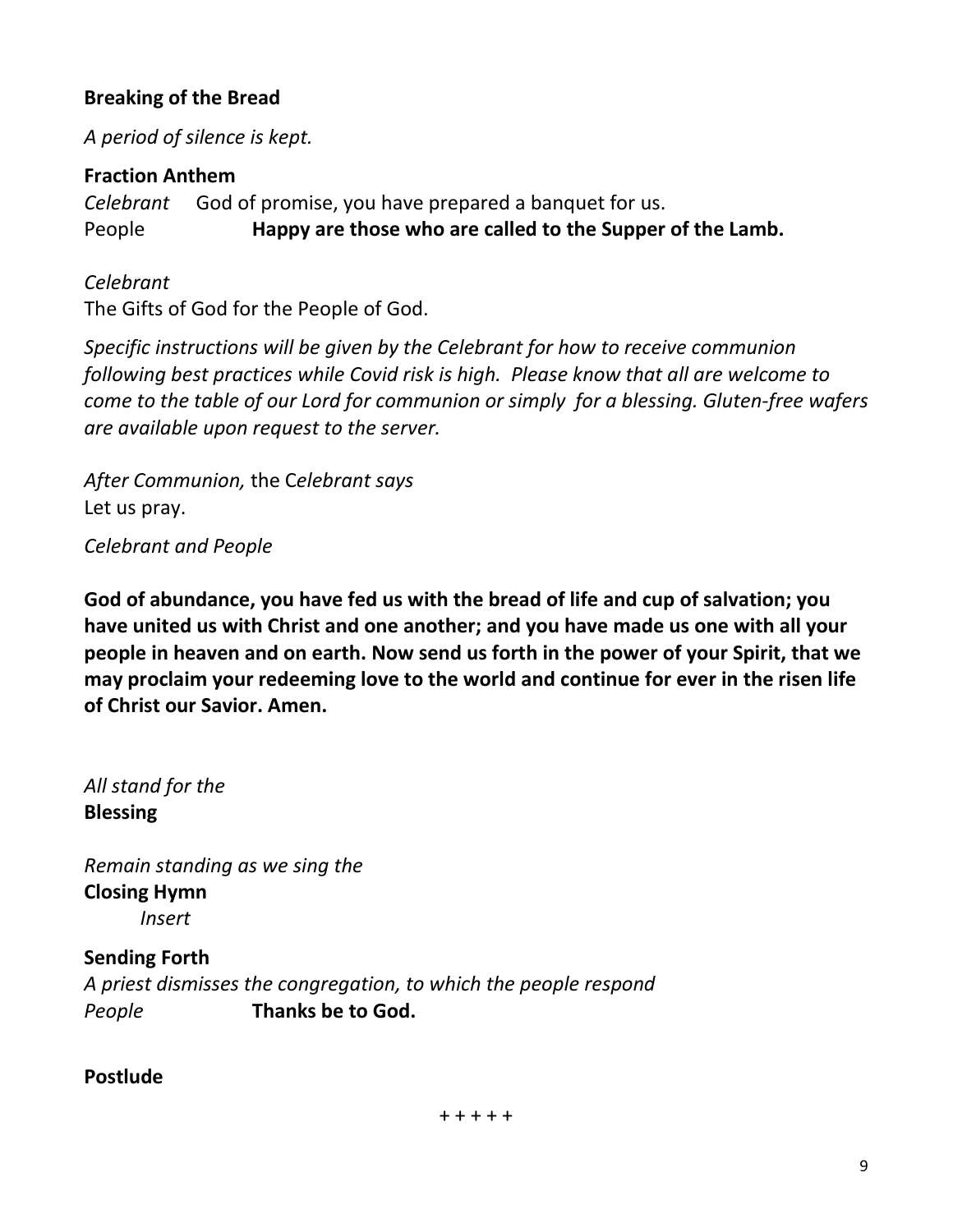#### **Breaking of the Bread**

*A period of silence is kept.*

#### **Fraction Anthem**

*Celebrant* God of promise, you have prepared a banquet for us. People **Happy are those who are called to the Supper of the Lamb.**

*Celebrant* The Gifts of God for the People of God.

*Specific instructions will be given by the Celebrant for how to receive communion following best practices while Covid risk is high. Please know that all are welcome to come to the table of our Lord for communion or simply for a blessing. Gluten-free wafers are available upon request to the server.*

*After Communion,* the C*elebrant says* Let us pray.

*Celebrant and People*

**God of abundance, you have fed us with the bread of life and cup of salvation; you have united us with Christ and one another; and you have made us one with all your people in heaven and on earth. Now send us forth in the power of your Spirit, that we may proclaim your redeeming love to the world and continue for ever in the risen life of Christ our Savior. Amen.**

*All stand for the*  **Blessing**

*Remain standing as we sing the* **Closing Hymn** *Insert*

**Sending Forth** *A priest dismisses the congregation, to which the people respond People* **Thanks be to God.**

**Postlude**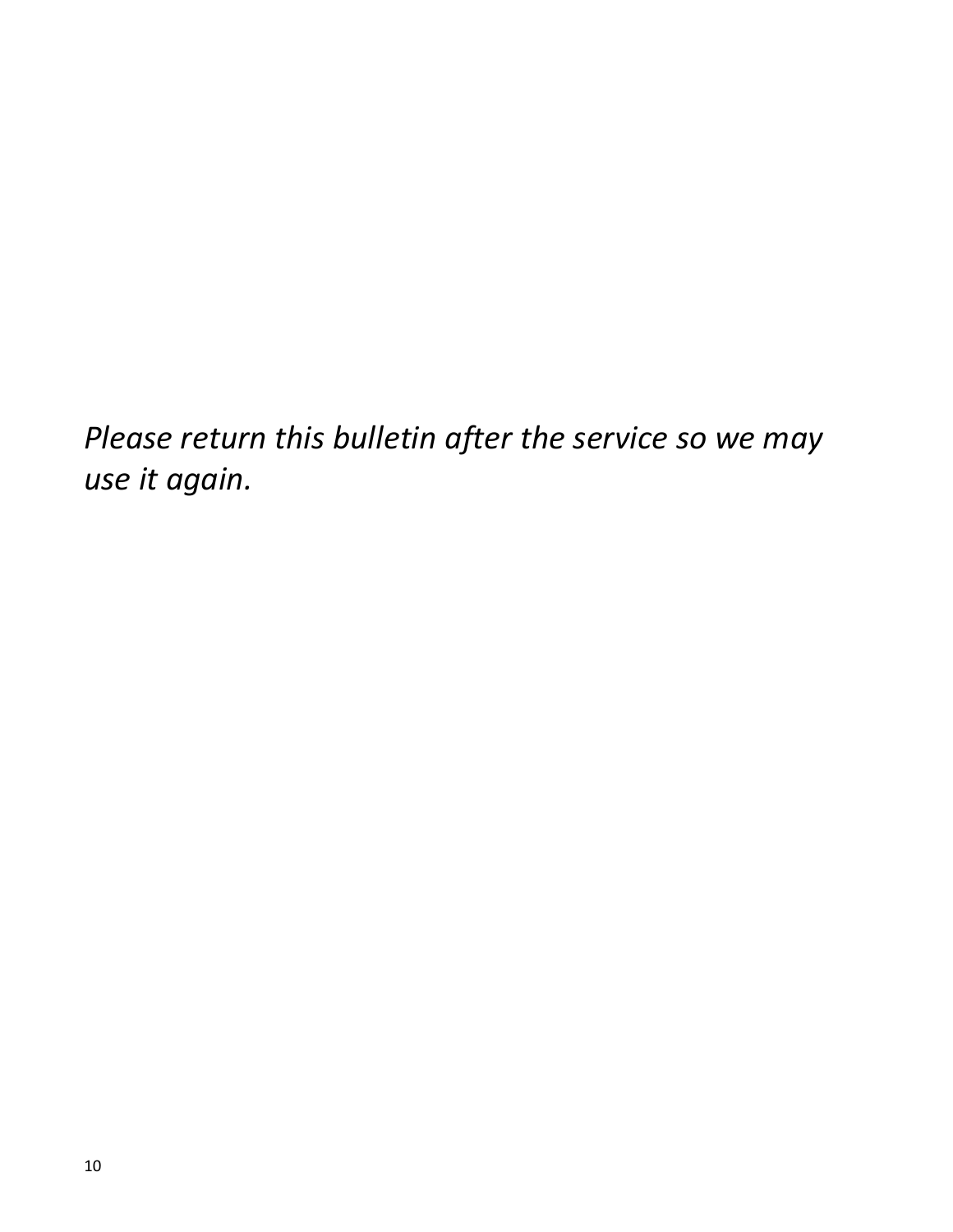*Please return this bulletin after the service so we may use it again.*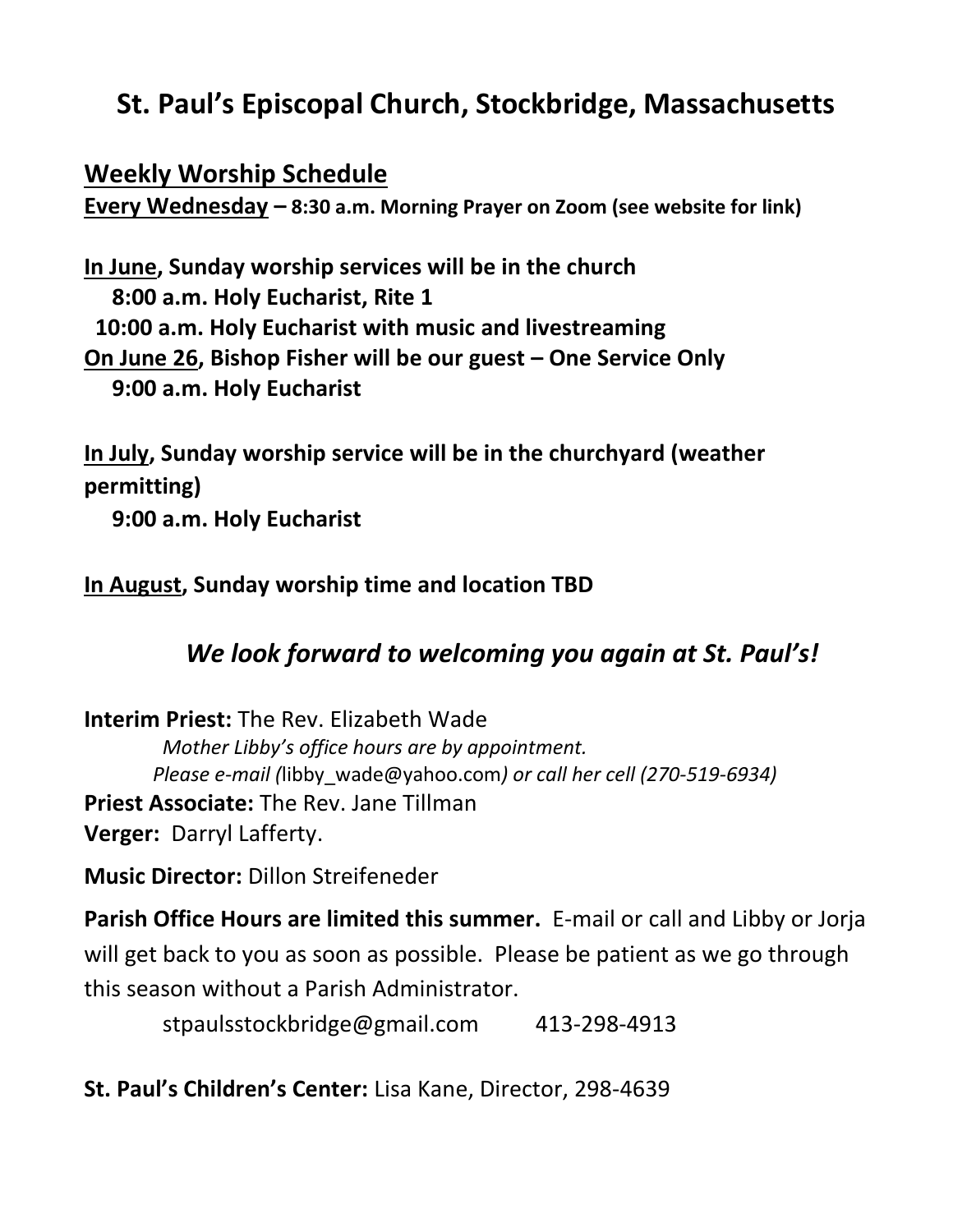## **St. Paul's Episcopal Church, Stockbridge, Massachusetts**

#### **Weekly Worship Schedule**

**Every Wednesday – 8:30 a.m. Morning Prayer on Zoom (see website for link)**

**In June, Sunday worship services will be in the church 8:00 a.m. Holy Eucharist, Rite 1 10:00 a.m. Holy Eucharist with music and livestreaming On June 26, Bishop Fisher will be our guest – One Service Only 9:00 a.m. Holy Eucharist**

**In July, Sunday worship service will be in the churchyard (weather permitting)**

 **9:00 a.m. Holy Eucharist**

**In August, Sunday worship time and location TBD**

### *We look forward to welcoming you again at St. Paul's!*

**Interim Priest:** The Rev. Elizabeth Wade  *Mother Libby's office hours are by appointment. Please e-mail (*[libby\\_wade@yahoo.com](mailto:libby_wade@yahoo.com)*) or call her cell (270-519-6934)* **Priest Associate:** The Rev. Jane Tillman **Verger:** Darryl Lafferty.

**Music Director:** Dillon Streifeneder

**Parish Office Hours are limited this summer.** E-mail or call and Libby or Jorja will get back to you as soon as possible. Please be patient as we go through this season without a Parish Administrator.

stpaulsstockbridge@gmail.com 413-298-4913

**St. Paul's Children's Center:** Lisa Kane, Director, 298-4639